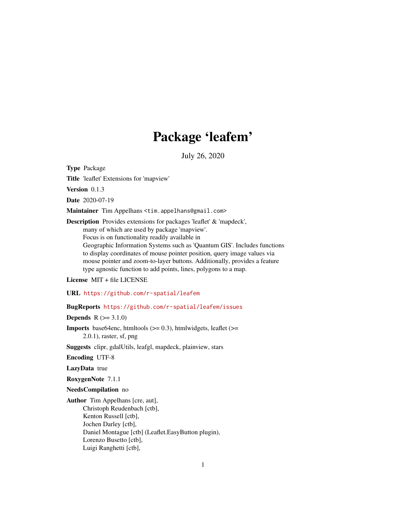# Package 'leafem'

July 26, 2020

<span id="page-0-0"></span>Type Package

Title 'leaflet' Extensions for 'mapview'

Version 0.1.3

Date 2020-07-19

Maintainer Tim Appelhans <tim.appelhans@gmail.com>

Description Provides extensions for packages 'leaflet' & 'mapdeck', many of which are used by package 'mapview'. Focus is on functionality readily available in Geographic Information Systems such as 'Quantum GIS'. Includes functions to display coordinates of mouse pointer position, query image values via mouse pointer and zoom-to-layer buttons. Additionally, provides a feature type agnostic function to add points, lines, polygons to a map.

License MIT + file LICENSE

URL <https://github.com/r-spatial/leafem>

# BugReports <https://github.com/r-spatial/leafem/issues>

**Depends**  $R (=3.1.0)$ 

**Imports** base64enc, htmltools  $(>= 0.3)$ , htmlwidgets, leaflet  $(>= 1.3)$ 2.0.1), raster, sf, png

Suggests clipr, gdalUtils, leafgl, mapdeck, plainview, stars

Encoding UTF-8

LazyData true

RoxygenNote 7.1.1

NeedsCompilation no

Author Tim Appelhans [cre, aut], Christoph Reudenbach [ctb], Kenton Russell [ctb], Jochen Darley [ctb], Daniel Montague [ctb] (Leaflet.EasyButton plugin), Lorenzo Busetto [ctb], Luigi Ranghetti [ctb],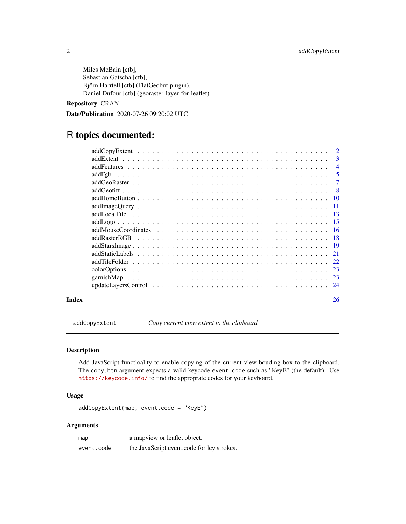<span id="page-1-0"></span>Miles McBain [ctb], Sebastian Gatscha [ctb], Björn Harrtell [ctb] (FlatGeobuf plugin), Daniel Dufour [ctb] (georaster-layer-for-leaflet)

# Repository CRAN

Date/Publication 2020-07-26 09:20:02 UTC

# R topics documented:

|       |               | $\overline{\mathbf{3}}$ |
|-------|---------------|-------------------------|
|       |               | $\overline{4}$          |
|       |               | $\overline{5}$          |
|       |               |                         |
|       |               |                         |
|       |               |                         |
|       |               |                         |
|       |               |                         |
|       |               |                         |
|       |               |                         |
|       | addRasterRGB  |                         |
|       |               |                         |
|       |               |                         |
|       | addTileFolder |                         |
|       |               |                         |
|       |               |                         |
|       |               |                         |
| Index |               | 26                      |

addCopyExtent *Copy current view extent to the clipboard*

# Description

Add JavaScript functioality to enable copying of the current view bouding box to the clipboard. The copy.btn argument expects a valid keycode event.code such as "KeyE" (the default). Use <https://keycode.info/> to find the approprate codes for your keyboard.

# Usage

addCopyExtent(map, event.code = "KeyE")

| map        | a mapview or leaflet object.               |
|------------|--------------------------------------------|
| event.code | the JavaScript event.code for ley strokes. |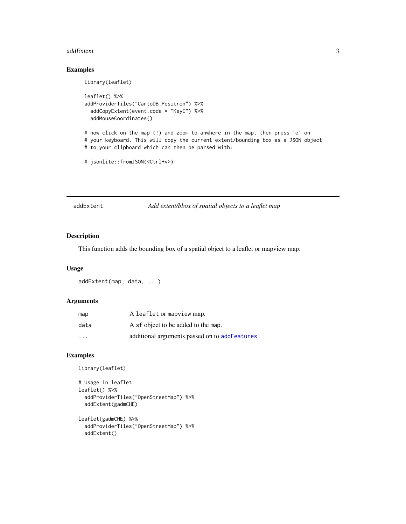#### <span id="page-2-0"></span>addExtent 3

# Examples

```
library(leaflet)
leaflet() %>%
addProviderTiles("CartoDB.Positron") %>%
  addCopyExtent(event.code = "KeyE") %>%
  addMouseCoordinates()
# now click on the map (!) and zoom to anwhere in the map, then press 'e' on
# your keyboard. This will copy the current extent/bounding box as a JSON object
# to your clipboard which can then be parsed with:
# jsonlite::fromJSON(<Ctrl+v>)
```
addExtent *Add extent/bbox of spatial objects to a leaflet map*

#### Description

This function adds the bounding box of a spatial object to a leaflet or mapview map.

#### Usage

```
addExtent(map, data, ...)
```
#### Arguments

| map                     | A leaflet or mapview map.                     |
|-------------------------|-----------------------------------------------|
| data                    | A sf object to be added to the map.           |
| $\cdot$ $\cdot$ $\cdot$ | additional arguments passed on to addFeatures |

```
library(leaflet)
```

```
# Usage in leaflet
leaflet() %>%
 addProviderTiles("OpenStreetMap") %>%
 addExtent(gadmCHE)
leaflet(gadmCHE) %>%
```

```
addProviderTiles("OpenStreetMap") %>%
addExtent()
```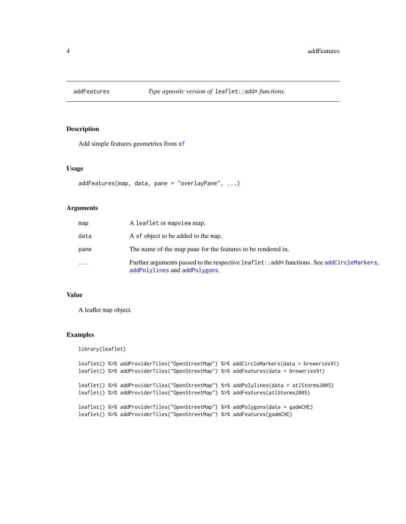<span id="page-3-1"></span><span id="page-3-0"></span>

#### Description

Add simple features geometries from [sf](#page-0-0)

#### Usage

```
addFeatures(map, data, pane = "overlayPane", ...)
```
### Arguments

| map  | A leaflet or mapview map.                                                                                                    |
|------|------------------------------------------------------------------------------------------------------------------------------|
| data | A sf object to be added to the map.                                                                                          |
| pane | The name of the map pane for the features to be rendered in.                                                                 |
| .    | Further arguments passed to the respective leaflet: : add* functions. See addCircleMarkers,<br>addPolylines and addPolygons. |

#### Value

A leaflet map object.

```
library(leaflet)
leaflet() %>% addProviderTiles("OpenStreetMap") %>% addCircleMarkers(data = breweries91)
leaflet() %>% addProviderTiles("OpenStreetMap") %>% addFeatures(data = breweries91)
leaflet() %>% addProviderTiles("OpenStreetMap") %>% addPolylines(data = atlStorms2005)
leaflet() %>% addProviderTiles("OpenStreetMap") %>% addFeatures(atlStorms2005)
leaflet() %>% addProviderTiles("OpenStreetMap") %>% addPolygons(data = gadmCHE)
leaflet() %>% addProviderTiles("OpenStreetMap") %>% addFeatures(gadmCHE)
```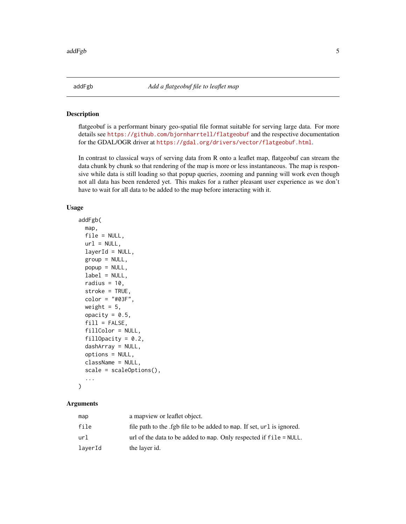<span id="page-4-0"></span>

#### Description

flatgeobuf is a performant binary geo-spatial file format suitable for serving large data. For more details see <https://github.com/bjornharrtell/flatgeobuf> and the respective documentation for the GDAL/OGR driver at <https://gdal.org/drivers/vector/flatgeobuf.html>.

In contrast to classical ways of serving data from R onto a leaflet map, flatgeobuf can stream the data chunk by chunk so that rendering of the map is more or less instantaneous. The map is responsive while data is still loading so that popup queries, zooming and panning will work even though not all data has been rendered yet. This makes for a rather pleasant user experience as we don't have to wait for all data to be added to the map before interacting with it.

#### Usage

```
addFgb(
 map,
  file = NULL,
  url = NULL,layerId = NULL,group = NULL,popup = NULL,
  label = NULL,radius = 10,
  stroke = TRUE,
  color = "#03F",weight = 5,
  opacity = 0.5,
  fill = FALSE,fillColor = NULL,
  fillOpacity = 0.2,
  dashArray = NULL,
  options = NULL,
  className = NULL,
  scale = scaleOptions(),
  ...
)
```

| map     | a map view or leaflet object.                                          |
|---------|------------------------------------------------------------------------|
| file    | file path to the .fgb file to be added to map. If set, url is ignored. |
| url     | url of the data to be added to map. Only respected if $file = NULL$ .  |
| laverId | the layer id.                                                          |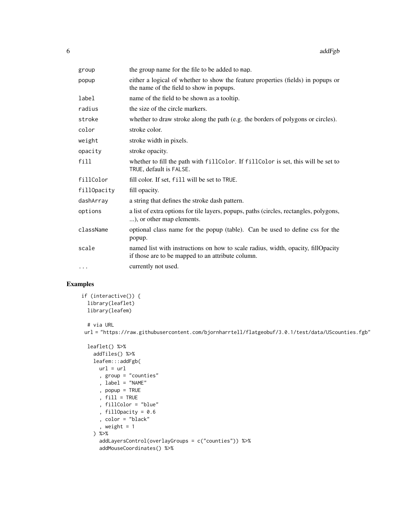| group       | the group name for the file to be added to map.                                                                                       |
|-------------|---------------------------------------------------------------------------------------------------------------------------------------|
| popup       | either a logical of whether to show the feature properties (fields) in popups or<br>the name of the field to show in popups.          |
| label       | name of the field to be shown as a tooltip.                                                                                           |
| radius      | the size of the circle markers.                                                                                                       |
| stroke      | whether to draw stroke along the path (e.g. the borders of polygons or circles).                                                      |
| color       | stroke color.                                                                                                                         |
| weight      | stroke width in pixels.                                                                                                               |
| opacity     | stroke opacity.                                                                                                                       |
| fill        | whether to fill the path with fillColor. If fillColor is set, this will be set to<br>TRUE, default is FALSE.                          |
| fillColor   | fill color. If set, fill will be set to TRUE.                                                                                         |
| fillOpacity | fill opacity.                                                                                                                         |
| dashArray   | a string that defines the stroke dash pattern.                                                                                        |
| options     | a list of extra options for tile layers, popups, paths (circles, rectangles, polygons,<br>), or other map elements.                   |
| className   | optional class name for the popup (table). Can be used to define css for the<br>popup.                                                |
| scale       | named list with instructions on how to scale radius, width, opacity, fillOpacity<br>if those are to be mapped to an attribute column. |
| $\cdots$    | currently not used.                                                                                                                   |

# Examples

```
if (interactive()) {
 library(leaflet)
 library(leafem)
```
# via URL

url = "https://raw.githubusercontent.com/bjornharrtell/flatgeobuf/3.0.1/test/data/UScounties.fgb"

```
leaflet() %>%
 addTiles() %>%
 leafem:::addFgb(
   url = url, group = "counties"
    , label = "NAME"
   , popup = TRUE
    , fill = TRUE
    , fillColor = "blue"
   , fillOpacity = 0.6
   , color = "black"
    , weight = 1) %>%
    addLayersControl(overlayGroups = c("counties")) %>%
    addMouseCoordinates() %>%
```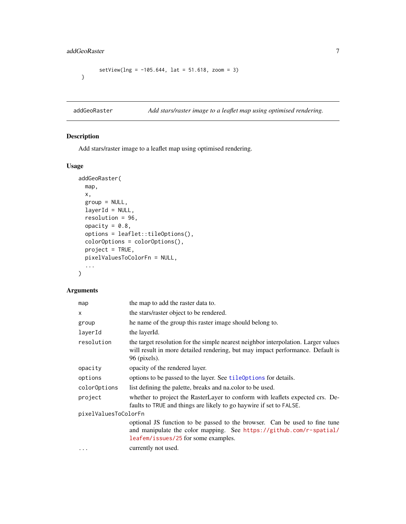# <span id="page-6-0"></span>addGeoRaster 7

```
setView(\ln g = -105.644, \ln f = 51.618, zoom = 3)
}
```
addGeoRaster *Add stars/raster image to a leaflet map using optimised rendering.*

# Description

Add stars/raster image to a leaflet map using optimised rendering.

# Usage

```
addGeoRaster(
 map,
 x,
  group = NULL,
  layerId = NULL,
  resolution = 96,
 opacity = 0.8,
  options = leaflet::tileOptions(),
  colorOptions = colorOptions(),
 project = TRUE,
 pixelValuesToColorFn = NULL,
  ...
\mathcal{L}
```

| map                  | the map to add the raster data to.                                                                                                                                                       |  |
|----------------------|------------------------------------------------------------------------------------------------------------------------------------------------------------------------------------------|--|
| x                    | the stars/raster object to be rendered.                                                                                                                                                  |  |
| group                | he name of the group this raster image should belong to.                                                                                                                                 |  |
| layerId              | the layerId.                                                                                                                                                                             |  |
| resolution           | the target resolution for the simple nearest neighbor interpolation. Larger values<br>will result in more detailed rendering, but may impact performance. Default is<br>96 (pixels).     |  |
| opacity              | opacity of the rendered layer.                                                                                                                                                           |  |
| options              | options to be passed to the layer. See tileOptions for details.                                                                                                                          |  |
| color0ptions         | list defining the palette, breaks and nation to be used.                                                                                                                                 |  |
| project              | whether to project the RasterLayer to conform with leaflets expected crs. De-<br>faults to TRUE and things are likely to go haywire if set to FALSE.                                     |  |
| pixelValuesToColorFn |                                                                                                                                                                                          |  |
|                      | optional JS function to be passed to the browser. Can be used to fine tune<br>and manipulate the color mapping. See https://github.com/r-spatial/<br>leafem/issues/25 for some examples. |  |
| $\cdots$             | currently not used.                                                                                                                                                                      |  |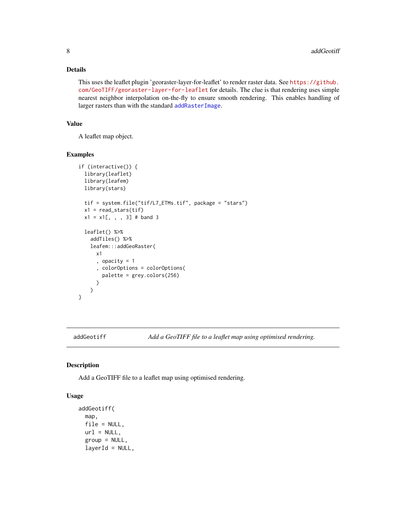# <span id="page-7-0"></span>Details

This uses the leaflet plugin 'georaster-layer-for-leaflet' to render raster data. See [https://github.](https://github.com/GeoTIFF/georaster-layer-for-leaflet) [com/GeoTIFF/georaster-layer-for-leaflet](https://github.com/GeoTIFF/georaster-layer-for-leaflet) for details. The clue is that rendering uses simple nearest neighbor interpolation on-the-fly to ensure smooth rendering. This enables handling of larger rasters than with the standard [addRasterImage](#page-0-0).

# Value

A leaflet map object.

#### Examples

```
if (interactive()) {
 library(leaflet)
 library(leafem)
 library(stars)
 tif = system.file("tif/L7_ETMs.tif", package = "stars")
 x1 = read\_stars(tif)x1 = x1[, , , , 3] # band 3
 leaflet() %>%
   addTiles() %>%
   leafem:::addGeoRaster(
      x1
      , opacity = 1
      , colorOptions = colorOptions(
        palette = grey.colors(256)
      )
   )
}
```
addGeotiff *Add a GeoTIFF file to a leaflet map using optimised rendering.*

#### Description

Add a GeoTIFF file to a leaflet map using optimised rendering.

#### Usage

```
addGeotiff(
 map,
  file = NULL,
 url = NULL,group = NULL,
  layerId = NULL,
```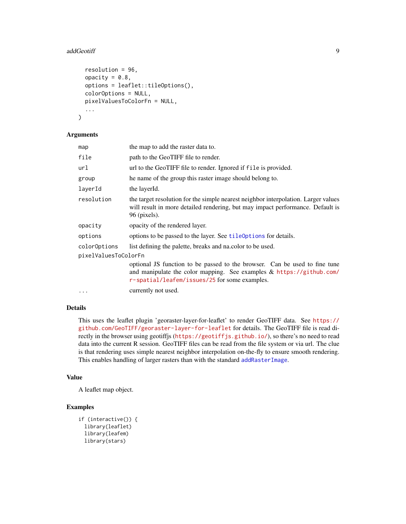#### <span id="page-8-0"></span>addGeotiff 9 and 200 and 200 and 200 and 200 and 200 and 200 and 200 and 200 and 200 and 200 and 200 and 200 and 200 and 200 and 200 and 200 and 200 and 200 and 200 and 200 and 200 and 200 and 200 and 200 and 200 and 200 a

```
resolution = 96,
  opacity = 0.8,
 options = leaflet::tileOptions(),
 colorOptions = NULL,
 pixelValuesToColorFn = NULL,
  ...
)
```
#### Arguments

| map                  | the map to add the raster data to.                                                                                                                                                                    |
|----------------------|-------------------------------------------------------------------------------------------------------------------------------------------------------------------------------------------------------|
| file                 | path to the GeoTIFF file to render.                                                                                                                                                                   |
| url                  | url to the GeoTIFF file to render. Ignored if file is provided.                                                                                                                                       |
| group                | he name of the group this raster image should belong to.                                                                                                                                              |
| layerId              | the layerId.                                                                                                                                                                                          |
| resolution           | the target resolution for the simple nearest neighbor interpolation. Larger values<br>will result in more detailed rendering, but may impact performance. Default is<br>$96$ (pixels).                |
| opacity              | opacity of the rendered layer.                                                                                                                                                                        |
| options              | options to be passed to the layer. See tileOptions for details.                                                                                                                                       |
| colorOptions         | list defining the palette, breaks and nation to be used.                                                                                                                                              |
| pixelValuesToColorFn |                                                                                                                                                                                                       |
|                      | optional JS function to be passed to the browser. Can be used to fine tune<br>and manipulate the color mapping. See examples $&$ https://github.com/<br>r-spatial/leafem/issues/25 for some examples. |
| $\cdots$             | currently not used.                                                                                                                                                                                   |

# Details

This uses the leaflet plugin 'georaster-layer-for-leaflet' to render GeoTIFF data. See [https://](https://github.com/GeoTIFF/georaster-layer-for-leaflet) [github.com/GeoTIFF/georaster-layer-for-leaflet](https://github.com/GeoTIFF/georaster-layer-for-leaflet) for details. The GeoTIFF file is read directly in the browser using geotiffjs (<https://geotiffjs.github.io/>), so there's no need to read data into the current R session. GeoTIFF files can be read from the file system or via url. The clue is that rendering uses simple nearest neighbor interpolation on-the-fly to ensure smooth rendering. This enables handling of larger rasters than with the standard [addRasterImage](#page-0-0).

#### Value

A leaflet map object.

```
if (interactive()) {
 library(leaflet)
 library(leafem)
 library(stars)
```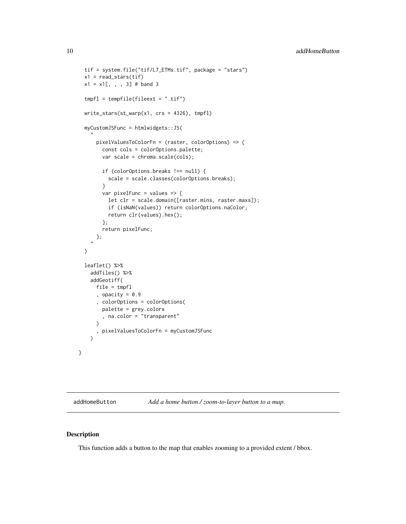```
tif = system.file("tif/L7_ETMs.tif", package = "stars")
 x1 = read\_stars(tif)x1 = x1[, , , , 3] # band 3
 tmpfl = tempfile(fileext = ".tif")
 write_stars(st_warp(x1, crs = 4326), tmpfl)
 myCustomJSFunc = htmlwidgets::JS(
    "pixelValuesToColorFn = (raster, colorOptions) => {
       const cols = colorOptions.palette;
        var scale = chroma.scale(cols);
        if (colorOptions.breaks !== null) {
         scale = scale.classes(colorOptions.breaks);
        }
        var pixelFunc = values => {
         let clr = scale.domain([raster.mins, raster.maxs]);
         if (isNaN(values)) return colorOptions.naColor;
         return clr(values).hex();
       };
       return pixelFunc;
     };
    ")
 leaflet() %>%
   addTiles() %>%
   addGeotiff(
     file = tmpfl
      , opacity = 0.9, colorOptions = colorOptions(
       palette = grey.colors
        , na.color = "transparent"
      \lambda, pixelValuesToColorFn = myCustomJSFunc
   \lambda}
```
addHomeButton *Add a home button / zoom-to-layer button to a map.*

#### Description

This function adds a button to the map that enables zooming to a provided extent / bbox.

<span id="page-9-0"></span>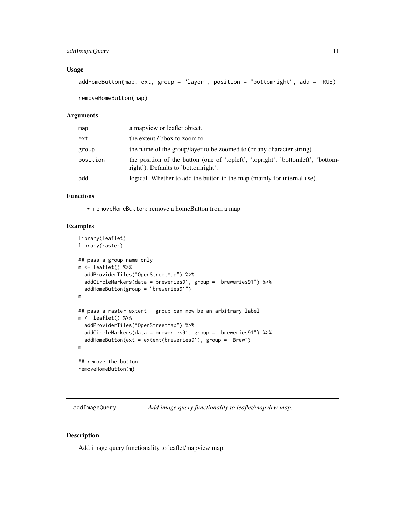# <span id="page-10-0"></span>addImageQuery 11

### Usage

```
addHomeButton(map, ext, group = "layer", position = "bottomright", add = TRUE)
```
removeHomeButton(map)

#### Arguments

| map      | a mapview or leaflet object.                                                                                            |
|----------|-------------------------------------------------------------------------------------------------------------------------|
| ext      | the extent / bbox to zoom to.                                                                                           |
| group    | the name of the group/layer to be zoomed to (or any character string)                                                   |
| position | the position of the button (one of 'topieft', 'topinght', 'bottometht', 'bottom-<br>right'). Defaults to 'bottomright'. |
| add      | logical. Whether to add the button to the map (mainly for internal use).                                                |

# Functions

• removeHomeButton: remove a homeButton from a map

# Examples

```
library(leaflet)
library(raster)
## pass a group name only
m <- leaflet() %>%
  addProviderTiles("OpenStreetMap") %>%
  addCircleMarkers(data = breweries91, group = "breweries91") %>%
  addHomeButton(group = "breweries91")
m
## pass a raster extent - group can now be an arbitrary label
m \leftarrow leaflet() %>%
  addProviderTiles("OpenStreetMap") %>%
  addCircleMarkers(data = breweries91, group = "breweries91") %>%
  addHomeButton(ext = extent(breweries91), group = "Brew")
m
## remove the button
removeHomeButton(m)
```
addImageQuery *Add image query functionality to leaflet/mapview map.*

# Description

Add image query functionality to leaflet/mapview map.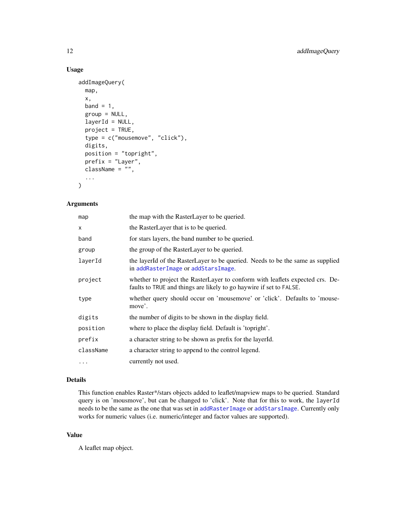# Usage

```
addImageQuery(
  map,
  x,
 band = 1,
 group = NULL,
  layerId = NULL,project = TRUE,
  type = c("mousemove", "click"),
  digits,
  position = "topright",
 prefix = "Layer",
  className = ",
  ...
\mathcal{L}
```
# Arguments

| the map with the RasterLayer to be queried.                                                                                                          |
|------------------------------------------------------------------------------------------------------------------------------------------------------|
| the RasterLayer that is to be queried.                                                                                                               |
| for stars layers, the band number to be queried.                                                                                                     |
| the group of the RasterLayer to be queried.                                                                                                          |
| the layerId of the RasterLayer to be queried. Needs to be the same as supplied<br>in addRasterImage or addStarsImage.                                |
| whether to project the RasterLayer to conform with leaflets expected crs. De-<br>faults to TRUE and things are likely to go haywire if set to FALSE. |
| whether query should occur on 'mousemove' or 'click'. Defaults to 'mouse-<br>move'.                                                                  |
| the number of digits to be shown in the display field.                                                                                               |
| where to place the display field. Default is 'topright'.                                                                                             |
| a character string to be shown as prefix for the layerId.                                                                                            |
| a character string to append to the control legend.                                                                                                  |
| currently not used.                                                                                                                                  |
|                                                                                                                                                      |

#### Details

This function enables Raster\*/stars objects added to leaflet/mapview maps to be queried. Standard query is on 'mousmove', but can be changed to 'click'. Note that for this to work, the layerId needs to be the same as the one that was set in [addRasterImage](#page-0-0) or [addStarsImage](#page-18-1). Currently only works for numeric values (i.e. numeric/integer and factor values are supported).

#### Value

A leaflet map object.

<span id="page-11-0"></span>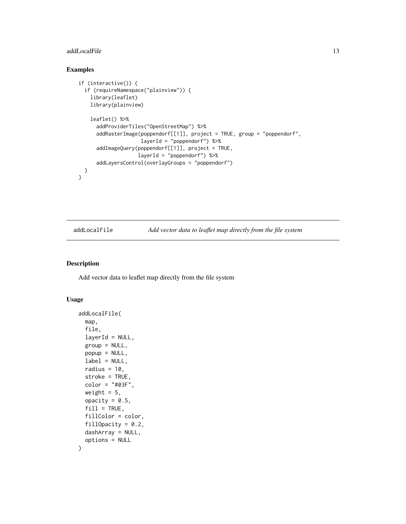#### <span id="page-12-0"></span>addLocalFile 13

# Examples

```
if (interactive()) {
 if (requireNamespace("plainview")) {
    library(leaflet)
    library(plainview)
    leaflet() %>%
     addProviderTiles("OpenStreetMap") %>%
     addRasterImage(poppendorf[[1]], project = TRUE, group = "poppendorf",
                     layerId = "poppendorf") %>%
     addImageQuery(poppendorf[[1]], project = TRUE,
                    layerId = "poppendorf") %>%
     addLayersControl(overlayGroups = "poppendorf")
 }
}
```
addLocalFile *Add vector data to leaflet map directly from the file system*

#### Description

Add vector data to leaflet map directly from the file system

#### Usage

```
addLocalFile(
  map,
  file,
  layerId = NULL,group = NULL,
 popup = NULL,
  label = NULL,radius = 10,
  stroke = TRUE,
  color = "#03F",
 weight = 5,
  opacity = 0.5,
  fill = TRUE,
  fillColor = color,
  fillOpacity = 0.2,
 dashArray = NULL,
  options = NULL
)
```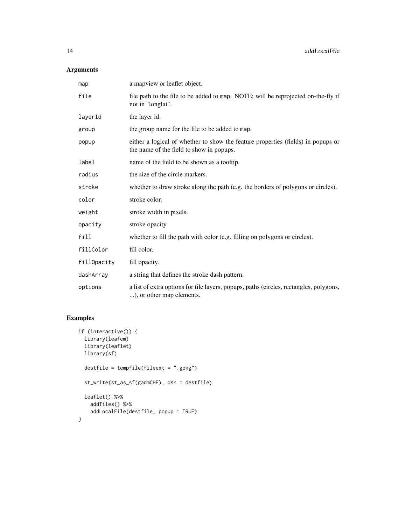# Arguments

| map         | a mapview or leaflet object.                                                                                                 |
|-------------|------------------------------------------------------------------------------------------------------------------------------|
| file        | file path to the file to be added to map. NOTE: will be reprojected on-the-fly if<br>not in "longlat".                       |
| layerId     | the layer id.                                                                                                                |
| group       | the group name for the file to be added to map.                                                                              |
| popup       | either a logical of whether to show the feature properties (fields) in popups or<br>the name of the field to show in popups. |
| label       | name of the field to be shown as a tooltip.                                                                                  |
| radius      | the size of the circle markers.                                                                                              |
| stroke      | whether to draw stroke along the path (e.g. the borders of polygons or circles).                                             |
| color       | stroke color.                                                                                                                |
| weight      | stroke width in pixels.                                                                                                      |
| opacity     | stroke opacity.                                                                                                              |
| fill        | whether to fill the path with color (e.g. filling on polygons or circles).                                                   |
| fillColor   | fill color.                                                                                                                  |
| fillOpacity | fill opacity.                                                                                                                |
| dashArray   | a string that defines the stroke dash pattern.                                                                               |
| options     | a list of extra options for tile layers, popups, paths (circles, rectangles, polygons,<br>), or other map elements.          |

```
if (interactive()) {
 library(leafem)
 library(leaflet)
 library(sf)
  destfile = tempfile(fileext = ".gpkg")
  st_write(st_as_sf(gadmCHE), dsn = destfile)
 leaflet() %>%
   addTiles() %>%
   addLocalFile(destfile, popup = TRUE)
}
```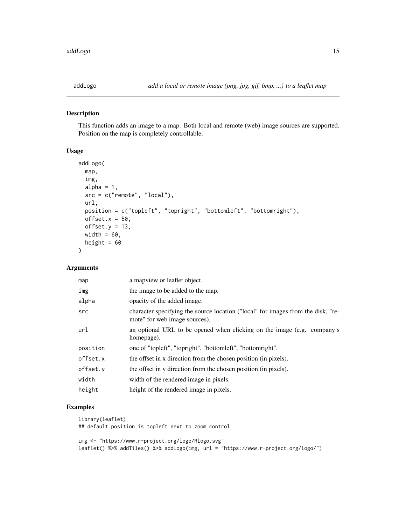<span id="page-14-0"></span>

## Description

This function adds an image to a map. Both local and remote (web) image sources are supported. Position on the map is completely controllable.

#### Usage

```
addLogo(
  map,
  img,
  alpha = 1,
  src = c("remote", "local"),
  url,
 position = c("topleft", "topright", "bottomleft", "bottomright"),
 offset.x = 50,
 offset.y = 13,
 width = 60,
 height = 60\mathcal{L}
```
# Arguments

| map      | a map view or leaflet object.                                                                                     |
|----------|-------------------------------------------------------------------------------------------------------------------|
| img      | the image to be added to the map.                                                                                 |
| alpha    | opacity of the added image.                                                                                       |
| src      | character specifying the source location ("local" for images from the disk, "re-<br>mote" for web image sources). |
| url      | an optional URL to be opened when clicking on the image (e.g. company's<br>homepage).                             |
| position | one of "topleft", "topright", "bottomleft", "bottomright".                                                        |
| offset.x | the offset in x direction from the chosen position (in pixels).                                                   |
| offset.y | the offset in y direction from the chosen position (in pixels).                                                   |
| width    | width of the rendered image in pixels.                                                                            |
| height   | height of the rendered image in pixels.                                                                           |

# Examples

```
library(leaflet)
## default position is topleft next to zoom control
```
img <- "https://www.r-project.org/logo/Rlogo.svg" leaflet() %>% addTiles() %>% addLogo(img, url = "https://www.r-project.org/logo/")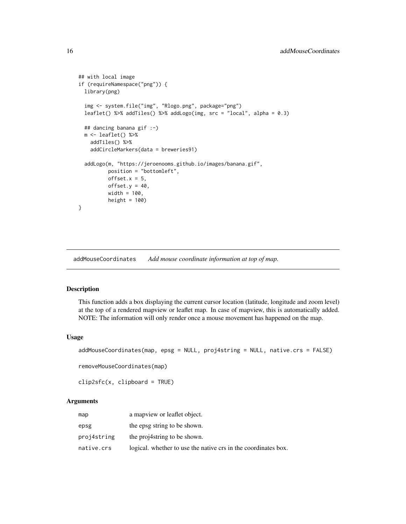```
## with local image
if (requireNamespace("png")) {
 library(png)
 img <- system.file("img", "Rlogo.png", package="png")
 leaflet() %>% addTiles() %>% addLogo(img, src = "local", alpha = 0.3)
 ## dancing banana gif :-)
 m <- leaflet() %>%
   addTiles() %>%
   addCircleMarkers(data = breweries91)
 addLogo(m, "https://jeroenooms.github.io/images/banana.gif",
          position = "bottomleft",
         offset.x = 5,
         offset.y = 40,width = 100,
         height = 100)
}
```
addMouseCoordinates *Add mouse coordinate information at top of map.*

#### Description

This function adds a box displaying the current cursor location (latitude, longitude and zoom level) at the top of a rendered mapview or leaflet map. In case of mapview, this is automatically added. NOTE: The information will only render once a mouse movement has happened on the map.

#### Usage

```
addMouseCoordinates(map, epsg = NULL, proj4string = NULL, native.crs = FALSE)
```
removeMouseCoordinates(map)

clip2sfc(x, clipboard = TRUE)

| map         | a map view or leaflet object.                                  |
|-------------|----------------------------------------------------------------|
| epsg        | the epsg string to be shown.                                   |
| proj4string | the projastring to be shown.                                   |
| native.crs  | logical, whether to use the native crs in the coordinates box. |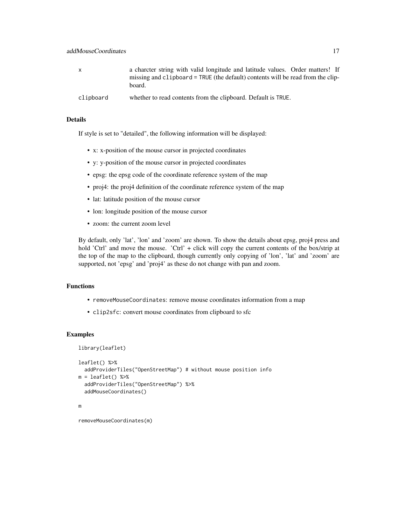| X         | a charcter string with valid longitude and latitude values. Order matters! If<br>missing and clipboard = TRUE (the default) contents will be read from the clip-<br>board. |
|-----------|----------------------------------------------------------------------------------------------------------------------------------------------------------------------------|
| clipboard | whether to read contents from the clipboard. Default is TRUE.                                                                                                              |

#### Details

If style is set to "detailed", the following information will be displayed:

- x: x-position of the mouse cursor in projected coordinates
- y: y-position of the mouse cursor in projected coordinates
- epsg: the epsg code of the coordinate reference system of the map
- proj4: the proj4 definition of the coordinate reference system of the map
- lat: latitude position of the mouse cursor
- lon: longitude position of the mouse cursor
- zoom: the current zoom level

By default, only 'lat', 'lon' and 'zoom' are shown. To show the details about epsg, proj4 press and hold 'Ctrl' and move the mouse. 'Ctrl' + click will copy the current contents of the box/strip at the top of the map to the clipboard, though currently only copying of 'lon', 'lat' and 'zoom' are supported, not 'epsg' and 'proj4' as these do not change with pan and zoom.

### Functions

- removeMouseCoordinates: remove mouse coordinates information from a map
- clip2sfc: convert mouse coordinates from clipboard to sfc

#### Examples

```
library(leaflet)
leaflet() %>%
  addProviderTiles("OpenStreetMap") # without mouse position info
m = leaflet() %>%
  addProviderTiles("OpenStreetMap") %>%
  addMouseCoordinates()
m
```
removeMouseCoordinates(m)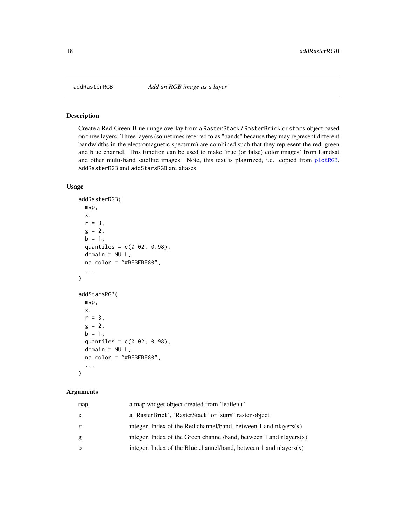<span id="page-17-0"></span>

# Description

Create a Red-Green-Blue image overlay from a RasterStack / RasterBrick or stars object based on three layers. Three layers (sometimes referred to as "bands" because they may represent different bandwidths in the electromagnetic spectrum) are combined such that they represent the red, green and blue channel. This function can be used to make 'true (or false) color images' from Landsat and other multi-band satellite images. Note, this text is plagirized, i.e. copied from [plotRGB](#page-0-0). AddRasterRGB and addStarsRGB are aliases.

# Usage

```
addRasterRGB(
 map,
 x,
 r = 3,
 g = 2,b = 1,
  quantiles = c(0.02, 0.98),
 domain = NULL,
 na.color = "#BEBEBE80",
  ...
)
addStarsRGB(
 map,
 x,
 r = 3,
 g = 2,
 b = 1,quantiles = c(0.02, 0.98),
 domain = NULL,
 na.color = "#BEBEBE80",
  ...
\mathcal{L}
```

| map | a map widget object created from 'leaflet()"                          |
|-----|-----------------------------------------------------------------------|
| X   | a 'RasterBrick', 'RasterStack' or 'stars" raster object               |
| r   | integer. Index of the Red channel/band, between 1 and nlayers $(x)$   |
| g   | integer. Index of the Green channel/band, between 1 and nlayers $(x)$ |
| b   | integer. Index of the Blue channel/band, between 1 and nlayers $(x)$  |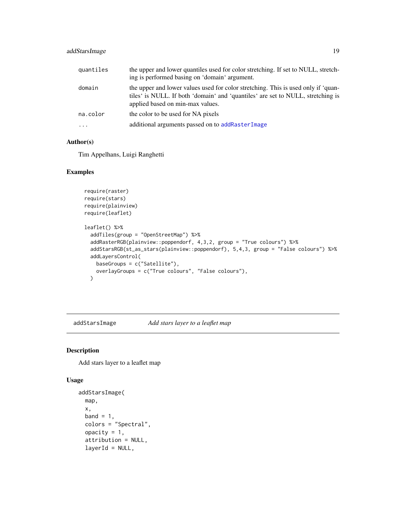# <span id="page-18-0"></span>addStarsImage 19

| quantiles | the upper and lower quantiles used for color stretching. If set to NULL, stretch-<br>ing is performed basing on 'domain' argument.                                                                       |
|-----------|----------------------------------------------------------------------------------------------------------------------------------------------------------------------------------------------------------|
| domain    | the upper and lower values used for color stretching. This is used only if 'quan-<br>tiles' is NULL. If both 'domain' and 'quantiles' are set to NULL, stretching is<br>applied based on min-max values. |
| na.color  | the color to be used for NA pixels                                                                                                                                                                       |
| $\cdot$   | additional arguments passed on to addRasterImage                                                                                                                                                         |

#### Author(s)

Tim Appelhans, Luigi Ranghetti

# Examples

```
require(raster)
require(stars)
require(plainview)
require(leaflet)
leaflet() %>%
  addTiles(group = "OpenStreetMap") %>%
  addRasterRGB(plainview::poppendorf, 4,3,2, group = "True colours") %>%
 addStarsRGB(st_as_stars(plainview::poppendorf), 5,4,3, group = "False colours") %>%
 addLayersControl(
   baseGroups = c("Satellite"),
   overlayGroups = c("True colours", "False colours"),
 \lambda
```
<span id="page-18-1"></span>addStarsImage *Add stars layer to a leaflet map*

#### Description

Add stars layer to a leaflet map

#### Usage

```
addStarsImage(
 map,
 x,
 band = 1,
 colors = "Spectral",
 opacity = 1,
  attribution = NULL,
  layerId = NULL,
```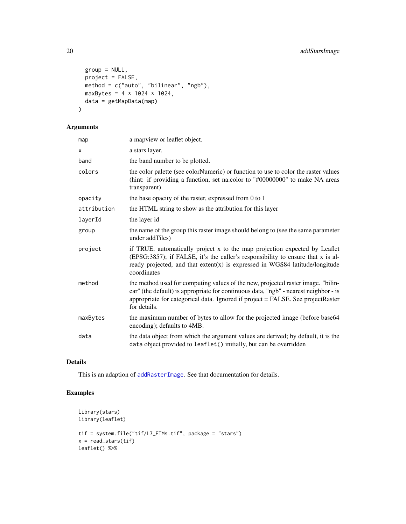```
group = NULL,
 project = FALSE,
 method = c("auto", "bilinear", "ngb"),
 maxBytes = 4 * 1024 * 1024,
 data = getMapData(map)
)
```
# Arguments

| a mapview or leaflet object.                                                                                                                                                                                                                                                |
|-----------------------------------------------------------------------------------------------------------------------------------------------------------------------------------------------------------------------------------------------------------------------------|
| a stars layer.                                                                                                                                                                                                                                                              |
| the band number to be plotted.                                                                                                                                                                                                                                              |
| the color palette (see colorNumeric) or function to use to color the raster values<br>(hint: if providing a function, set na.color to "#00000000" to make NA areas<br>transparent)                                                                                          |
| the base opacity of the raster, expressed from 0 to 1                                                                                                                                                                                                                       |
| the HTML string to show as the attribution for this layer                                                                                                                                                                                                                   |
| the layer id                                                                                                                                                                                                                                                                |
| the name of the group this raster image should belong to (see the same parameter<br>under addTiles)                                                                                                                                                                         |
| if TRUE, automatically project x to the map projection expected by Leaflet<br>(EPSG:3857); if FALSE, it's the caller's responsibility to ensure that x is al-<br>ready projected, and that extent(x) is expressed in WGS84 latitude/longitude<br>coordinates                |
| the method used for computing values of the new, projected raster image. "bilin-<br>ear" (the default) is appropriate for continuous data, "ngb" - nearest neighbor - is<br>appropriate for categorical data. Ignored if project = FALSE. See projectRaster<br>for details. |
| the maximum number of bytes to allow for the projected image (before base64<br>encoding); defaults to 4MB.                                                                                                                                                                  |
| the data object from which the argument values are derived; by default, it is the<br>data object provided to leaflet() initially, but can be overridden                                                                                                                     |
|                                                                                                                                                                                                                                                                             |

# Details

This is an adaption of [addRasterImage](#page-0-0). See that documentation for details.

```
library(stars)
library(leaflet)
tif = system.file("tif/L7_ETMs.tif", package = "stars")
x = read\_stars(tif)leaflet() %>%
```
<span id="page-19-0"></span>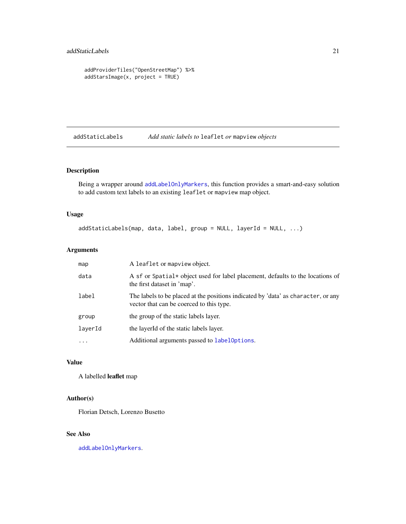```
addProviderTiles("OpenStreetMap") %>%
addStarsImage(x, project = TRUE)
```
addStaticLabels *Add static labels to* leaflet *or* mapview *objects*

# Description

Being a wrapper around [addLabelOnlyMarkers](#page-0-0), this function provides a smart-and-easy solution to add custom text labels to an existing leaflet or mapview map object.

# Usage

addStaticLabels(map, data, label, group = NULL, layerId = NULL, ...)

# Arguments

| map     | A leaflet or mapview object.                                                                                                  |
|---------|-------------------------------------------------------------------------------------------------------------------------------|
| data    | A sf or Spatial* object used for label placement, defaults to the locations of<br>the first dataset in 'map'.                 |
| label   | The labels to be placed at the positions indicated by 'data' as character, or any<br>vector that can be coerced to this type. |
| group   | the group of the static labels layer.                                                                                         |
| layerId | the layerId of the static labels layer.                                                                                       |
| .       | Additional arguments passed to labeloptions.                                                                                  |

# Value

A labelled leaflet map

#### Author(s)

Florian Detsch, Lorenzo Busetto

# See Also

[addLabelOnlyMarkers](#page-0-0).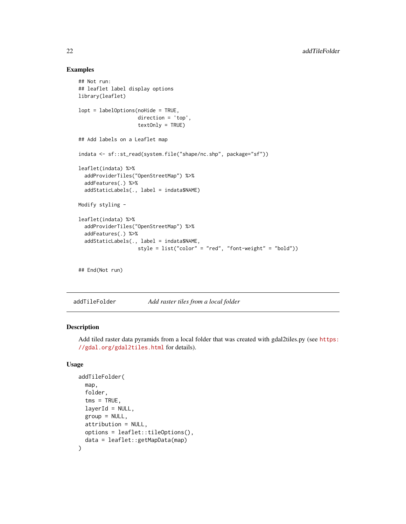#### Examples

```
## Not run:
## leaflet label display options
library(leaflet)
lopt = labelOptions(noHide = TRUE,
                    direction = 'top',
                    textOnly = TRUE)
## Add labels on a Leaflet map
indata <- sf::st_read(system.file("shape/nc.shp", package="sf"))
leaflet(indata) %>%
  addProviderTiles("OpenStreetMap") %>%
  addFeatures(.) %>%
  addStaticLabels(., label = indata$NAME)
Modify styling -
leaflet(indata) %>%
  addProviderTiles("OpenStreetMap") %>%
  addFeatures(.) %>%
  addStaticLabels(., label = indata$NAME,
                    style = list("color" = "red", "font-weight" = "bold"))
```

```
## End(Not run)
```
addTileFolder *Add raster tiles from a local folder*

# Description

Add tiled raster data pyramids from a local folder that was created with gdal2tiles.py (see [https:](https://gdal.org/gdal2tiles.html) [//gdal.org/gdal2tiles.html](https://gdal.org/gdal2tiles.html) for details).

#### Usage

```
addTileFolder(
  map,
  folder,
  tms = TRUE,layerId = NULL,group = NULL,
 attribution = NULL,
 options = leaflet::tileOptions(),
  data = leaflet::getMapData(map)
)
```
<span id="page-21-0"></span>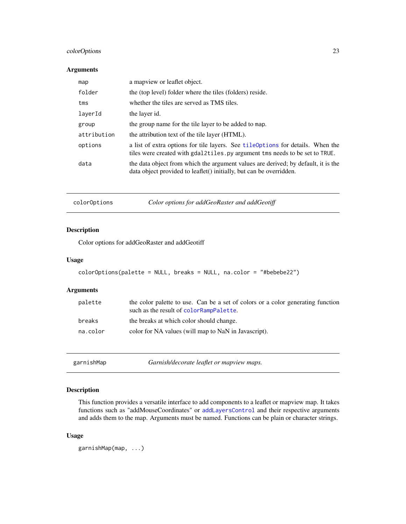# <span id="page-22-0"></span>colorOptions 23

#### Arguments

| map         | a map view or leaflet object.                                                                                                                                  |
|-------------|----------------------------------------------------------------------------------------------------------------------------------------------------------------|
| folder      | the (top level) folder where the tiles (folders) reside.                                                                                                       |
| tms         | whether the tiles are served as TMS tiles.                                                                                                                     |
| layerId     | the layer id.                                                                                                                                                  |
| group       | the group name for the tile layer to be added to map.                                                                                                          |
| attribution | the attribution text of the tile layer (HTML).                                                                                                                 |
| options     | a list of extra options for tile layers. See tileoptions for details. When the<br>tiles were created with gdal2tiles. py argument tms needs to be set to TRUE. |
| data        | the data object from which the argument values are derived; by default, it is the<br>data object provided to leaflet() initially, but can be overridden.       |

colorOptions *Color options for addGeoRaster and addGeotiff*

#### Description

Color options for addGeoRaster and addGeotiff

#### Usage

```
colorOptions(palette = NULL, breaks = NULL, na.color = "#bebebe22")
```
#### Arguments

| palette  | the color palette to use. Can be a set of colors or a color generating function<br>such as the result of colorRampPalette. |
|----------|----------------------------------------------------------------------------------------------------------------------------|
| breaks   | the breaks at which color should change.                                                                                   |
| na.color | color for NA values (will map to NaN in Javascript).                                                                       |

garnishMap *Garnish/decorate leaflet or mapview maps.*

# Description

This function provides a versatile interface to add components to a leaflet or mapview map. It takes functions such as "addMouseCoordinates" or [addLayersControl](#page-0-0) and their respective arguments and adds them to the map. Arguments must be named. Functions can be plain or character strings.

# Usage

garnishMap(map, ...)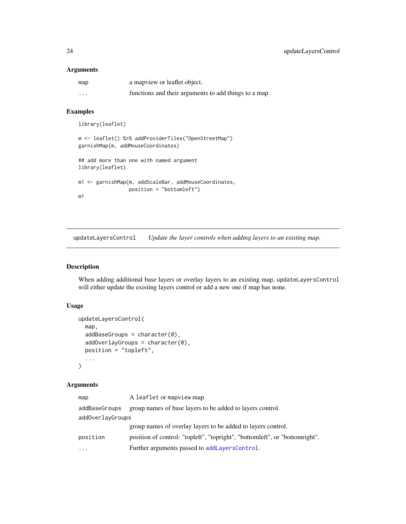#### <span id="page-23-0"></span>Arguments

| map | a mapview or leaflet object.                          |
|-----|-------------------------------------------------------|
| .   | functions and their arguments to add things to a map. |

#### Examples

```
library(leaflet)
```

```
m <- leaflet() %>% addProviderTiles("OpenStreetMap")
garnishMap(m, addMouseCoordinates)
```

```
## add more than one with named argument
library(leaflet)
```

```
m1 <- garnishMap(m, addScaleBar, addMouseCoordinates,
                 position = "bottomleft")
m1
```
updateLayersControl *Update the layer controls when adding layers to an existing map.*

# Description

When adding additional base layers or overlay layers to an existing map, updateLayersControl will either update the existing layers control or add a new one if map has none.

# Usage

```
updateLayersControl(
  map,
  addBaseGroups = character(0),
  addOverlayGroups = character(0),
  position = "topleft",
  ...
\mathcal{L}
```

| map              | A leaflet or mapview map.                                                   |
|------------------|-----------------------------------------------------------------------------|
| addBaseGroups    | group names of base layers to be added to layers control.                   |
| addOverlayGroups |                                                                             |
|                  | group names of overlay layers to be added to layers control.                |
| position         | position of control: "topleft", "topright", "bottomleft", or "bottomright". |
| $\ddotsc$        | Further arguments passed to addLayersControl.                               |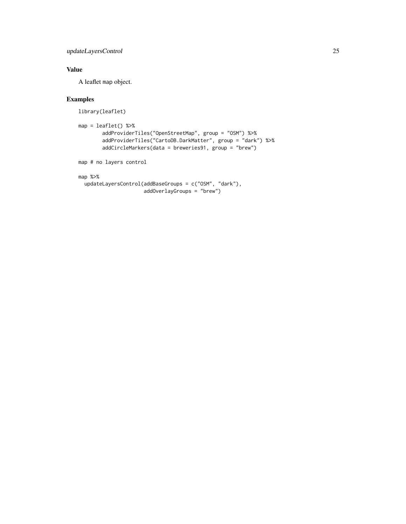# updateLayersControl 25

# Value

A leaflet map object.

```
library(leaflet)
```

```
map = leaflet() %>%
        addProviderTiles("OpenStreetMap", group = "OSM") %>%
        addProviderTiles("CartoDB.DarkMatter", group = "dark") %>%
        addCircleMarkers(data = breweries91, group = "brew")
map # no layers control
```

```
map %>%
 updateLayersControl(addBaseGroups = c("OSM", "dark"),
                     addOverlayGroups = "brew")
```